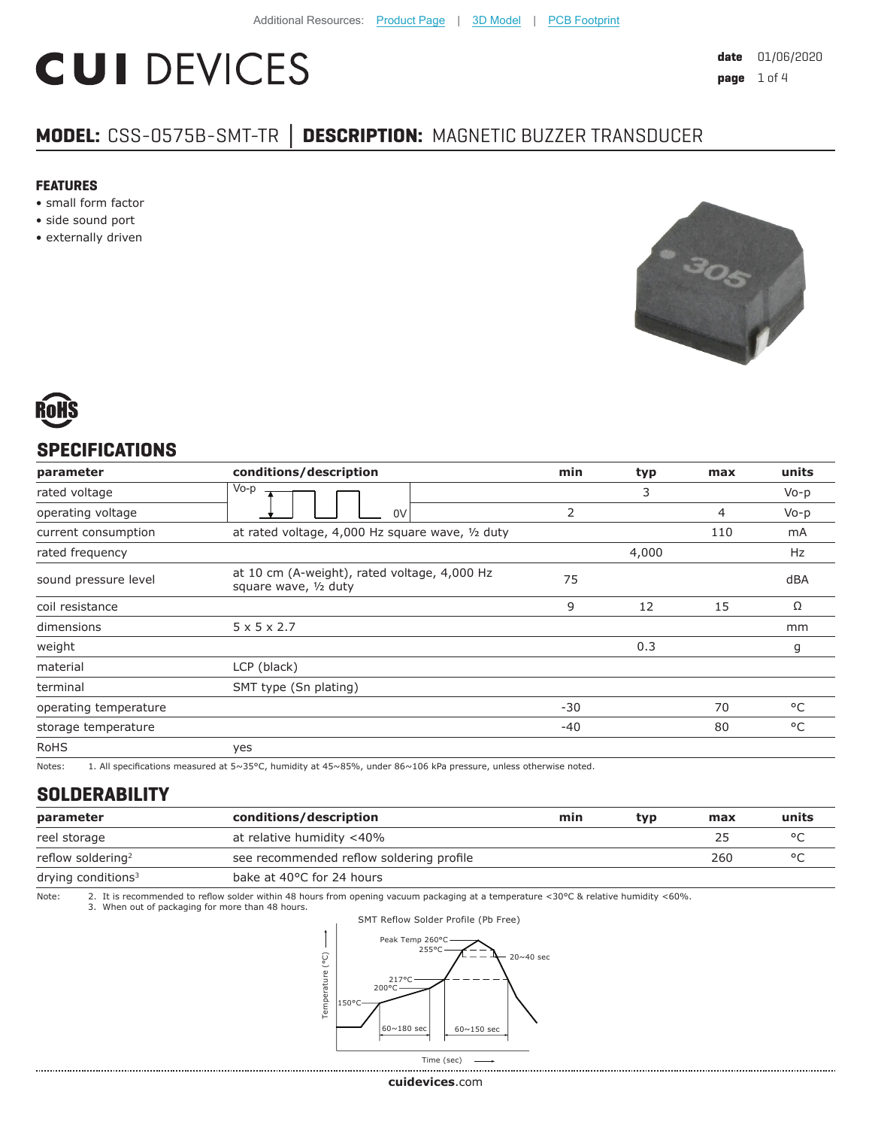# **CUI DEVICES**

## **MODEL:** CSS-0575B-SMT-TR **│ DESCRIPTION:** MAGNETIC BUZZER TRANSDUCER

#### **FEATURES**

- small form factor
- side sound port
- externally driven





### **SPECIFICATIONS**

| parameter             | conditions/description                                                | min   | typ   | max | units     |
|-----------------------|-----------------------------------------------------------------------|-------|-------|-----|-----------|
| rated voltage         | Vo-p                                                                  |       | 3     |     | $V_0 - p$ |
| operating voltage     | 0V                                                                    | 2     |       | 4   | $V_0 - p$ |
| current consumption   | at rated voltage, 4,000 Hz square wave, 1/2 duty                      |       |       | 110 | mA        |
| rated frequency       |                                                                       |       | 4,000 |     | Hz        |
| sound pressure level  | at 10 cm (A-weight), rated voltage, 4,000 Hz<br>square wave, 1/2 duty | 75    |       |     | dBA       |
| coil resistance       |                                                                       | 9     | 12    | 15  | Ω         |
| dimensions            | $5 \times 5 \times 2.7$                                               |       |       |     | mm        |
| weight                |                                                                       |       | 0.3   |     | g         |
| material              | LCP (black)                                                           |       |       |     |           |
| terminal              | SMT type (Sn plating)                                                 |       |       |     |           |
| operating temperature |                                                                       | $-30$ |       | 70  | °C        |
| storage temperature   |                                                                       | $-40$ |       | 80  | °C        |
| <b>RoHS</b>           | yes                                                                   |       |       |     |           |

Notes: 1. All specifications measured at 5~35°C, humidity at 45~85%, under 86~106 kPa pressure, unless otherwise noted.

#### **SOLDERABILITY**

| parameter                      | conditions/description                   | min | typ | max | units |
|--------------------------------|------------------------------------------|-----|-----|-----|-------|
| reel storage                   | at relative humidity <40%                |     |     | 25  |       |
| reflow soldering <sup>2</sup>  | see recommended reflow soldering profile |     |     | 260 |       |
| drying conditions <sup>3</sup> | bake at 40°C for 24 hours                |     |     |     |       |

Note: 2. It is recommended to reflow solder within 48 hours from opening vacuum packaging at a temperature <30°C & relative humidity <60%.<br>3. When out of packaging for more than 48 hours.



. . . . . . . . . .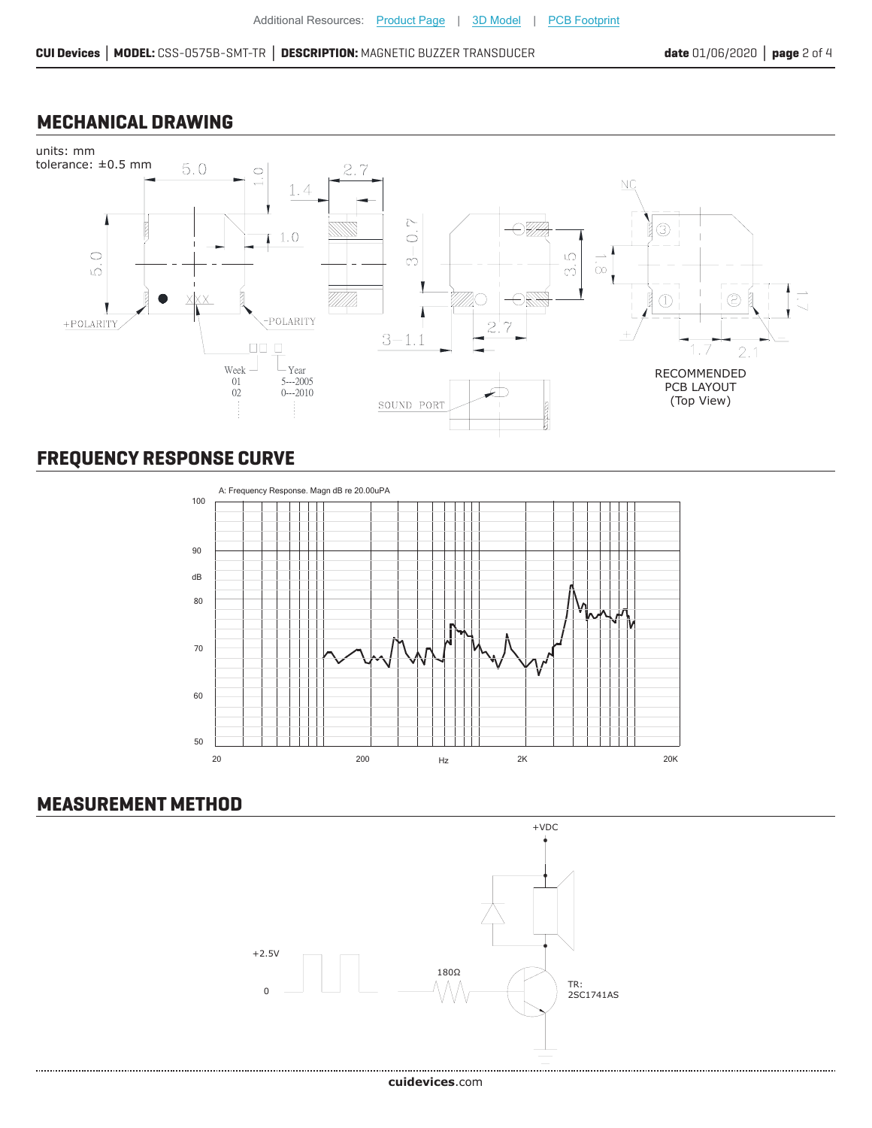#### **MECHANICAL DRAWING**



# **FREQUENCY RESPONSE CURVE**



#### **MEASUREMENT METHOD**

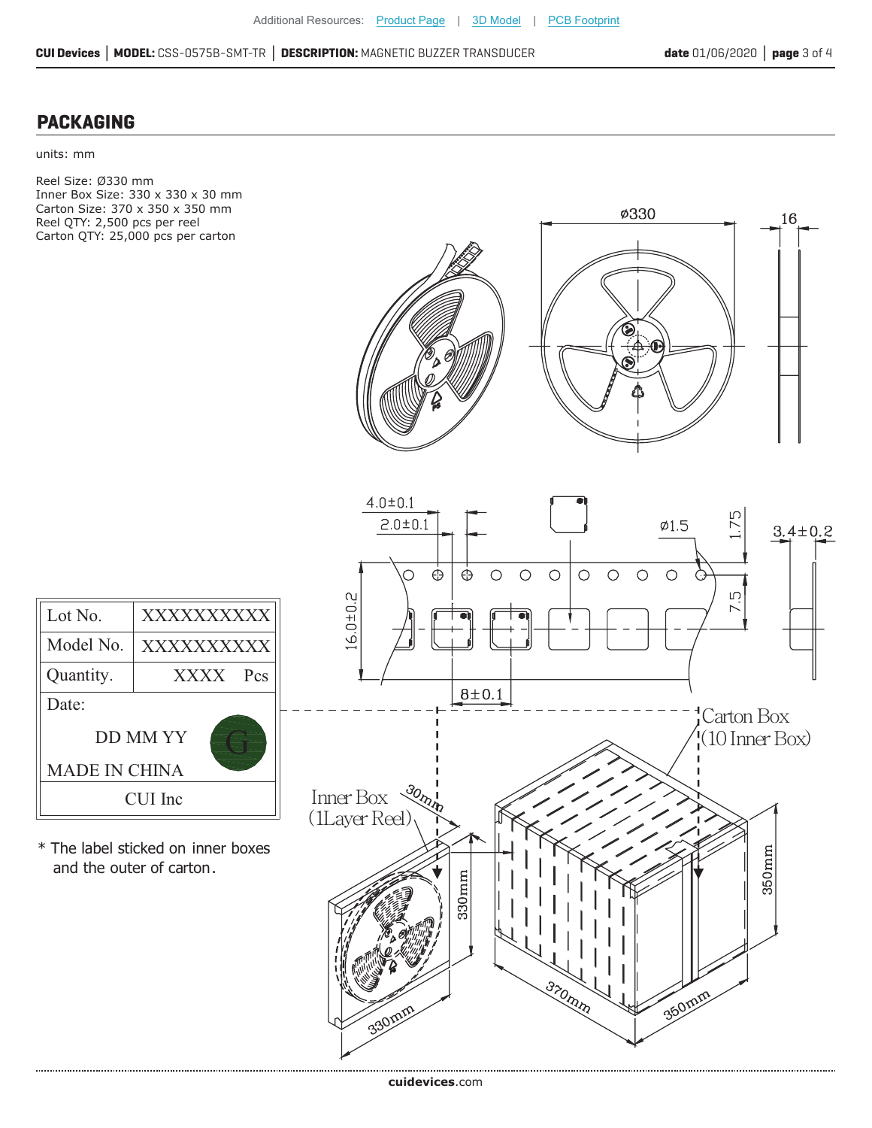16

**ø330** 

#### **PACKAGING**

units: mm

Reel Size: Ø330 mm Inner Box Size: 330 x 330 x 30 mm Carton Size: 370 x 350 x 350 mm Reel QTY: 2,500 pcs per reel Carton QTY: 25,000 pcs per carton